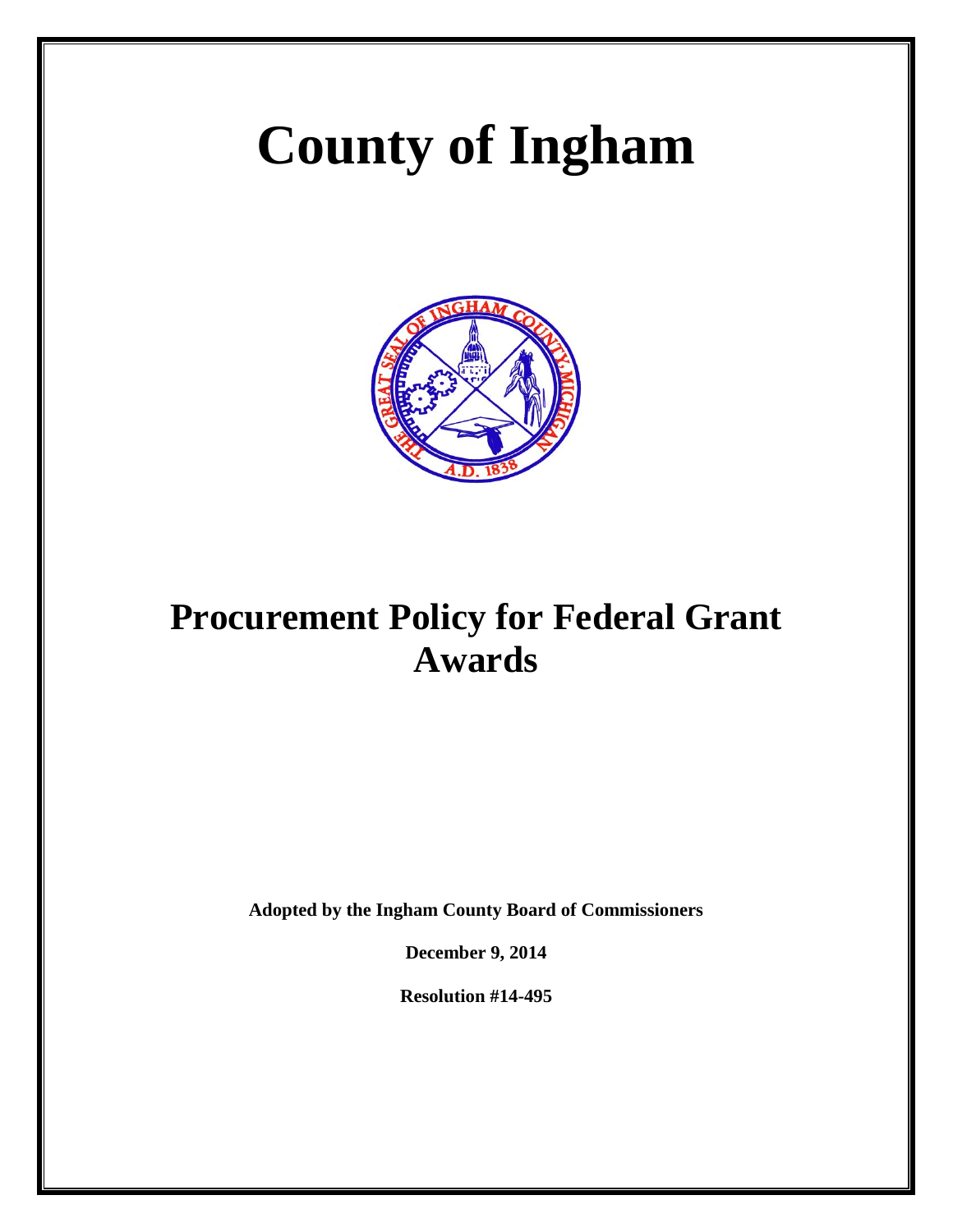# **County of Ingham**



# **Procurement Policy for Federal Grant Awards**

**Adopted by the Ingham County Board of Commissioners**

**December 9, 2014** 

**Resolution #14-495**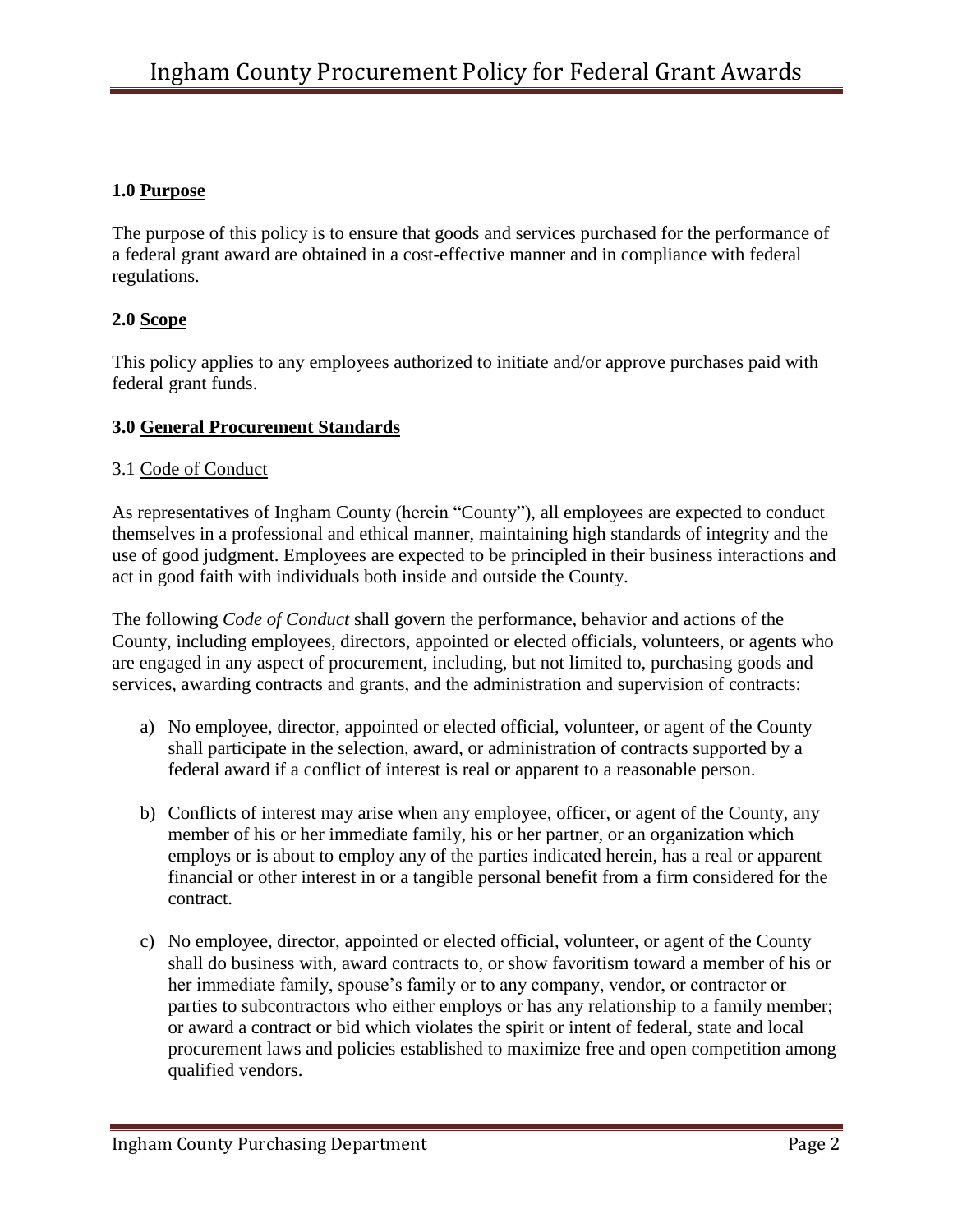#### **1.0 Purpose**

The purpose of this policy is to ensure that goods and services purchased for the performance of a federal grant award are obtained in a cost-effective manner and in compliance with federal regulations.

#### **2.0 Scope**

This policy applies to any employees authorized to initiate and/or approve purchases paid with federal grant funds.

#### **3.0 General Procurement Standards**

#### 3.1 Code of Conduct

As representatives of Ingham County (herein "County"), all employees are expected to conduct themselves in a professional and ethical manner, maintaining high standards of integrity and the use of good judgment. Employees are expected to be principled in their business interactions and act in good faith with individuals both inside and outside the County.

The following *Code of Conduct* shall govern the performance, behavior and actions of the County, including employees, directors, appointed or elected officials, volunteers, or agents who are engaged in any aspect of procurement, including, but not limited to, purchasing goods and services, awarding contracts and grants, and the administration and supervision of contracts:

- a) No employee, director, appointed or elected official, volunteer, or agent of the County shall participate in the selection, award, or administration of contracts supported by a federal award if a conflict of interest is real or apparent to a reasonable person.
- b) Conflicts of interest may arise when any employee, officer, or agent of the County, any member of his or her immediate family, his or her partner, or an organization which employs or is about to employ any of the parties indicated herein, has a real or apparent financial or other interest in or a tangible personal benefit from a firm considered for the contract.
- c) No employee, director, appointed or elected official, volunteer, or agent of the County shall do business with, award contracts to, or show favoritism toward a member of his or her immediate family, spouse's family or to any company, vendor, or contractor or parties to subcontractors who either employs or has any relationship to a family member; or award a contract or bid which violates the spirit or intent of federal, state and local procurement laws and policies established to maximize free and open competition among qualified vendors.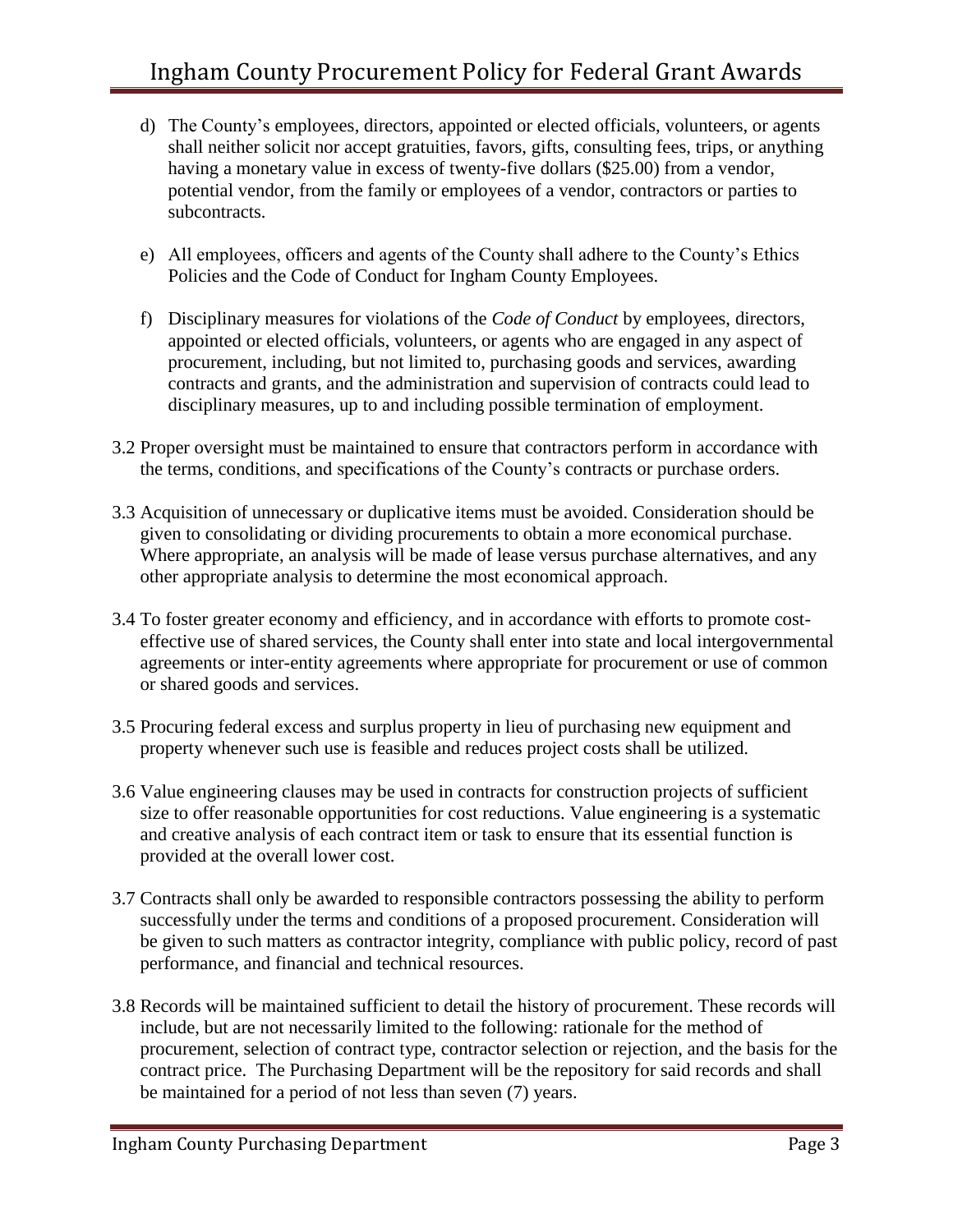- d) The County's employees, directors, appointed or elected officials, volunteers, or agents shall neither solicit nor accept gratuities, favors, gifts, consulting fees, trips, or anything having a monetary value in excess of twenty-five dollars (\$25.00) from a vendor, potential vendor, from the family or employees of a vendor, contractors or parties to subcontracts.
- e) All employees, officers and agents of the County shall adhere to the County's Ethics Policies and the Code of Conduct for Ingham County Employees.
- f) Disciplinary measures for violations of the *Code of Conduct* by employees, directors, appointed or elected officials, volunteers, or agents who are engaged in any aspect of procurement, including, but not limited to, purchasing goods and services, awarding contracts and grants, and the administration and supervision of contracts could lead to disciplinary measures, up to and including possible termination of employment.
- 3.2 Proper oversight must be maintained to ensure that contractors perform in accordance with the terms, conditions, and specifications of the County's contracts or purchase orders.
- 3.3 Acquisition of unnecessary or duplicative items must be avoided. Consideration should be given to consolidating or dividing procurements to obtain a more economical purchase. Where appropriate, an analysis will be made of lease versus purchase alternatives, and any other appropriate analysis to determine the most economical approach.
- 3.4 To foster greater economy and efficiency, and in accordance with efforts to promote costeffective use of shared services, the County shall enter into state and local intergovernmental agreements or inter-entity agreements where appropriate for procurement or use of common or shared goods and services.
- 3.5 Procuring federal excess and surplus property in lieu of purchasing new equipment and property whenever such use is feasible and reduces project costs shall be utilized.
- 3.6 Value engineering clauses may be used in contracts for construction projects of sufficient size to offer reasonable opportunities for cost reductions. Value engineering is a systematic and creative analysis of each contract item or task to ensure that its essential function is provided at the overall lower cost.
- 3.7 Contracts shall only be awarded to responsible contractors possessing the ability to perform successfully under the terms and conditions of a proposed procurement. Consideration will be given to such matters as contractor integrity, compliance with public policy, record of past performance, and financial and technical resources.
- 3.8 Records will be maintained sufficient to detail the history of procurement. These records will include, but are not necessarily limited to the following: rationale for the method of procurement, selection of contract type, contractor selection or rejection, and the basis for the contract price. The Purchasing Department will be the repository for said records and shall be maintained for a period of not less than seven (7) years.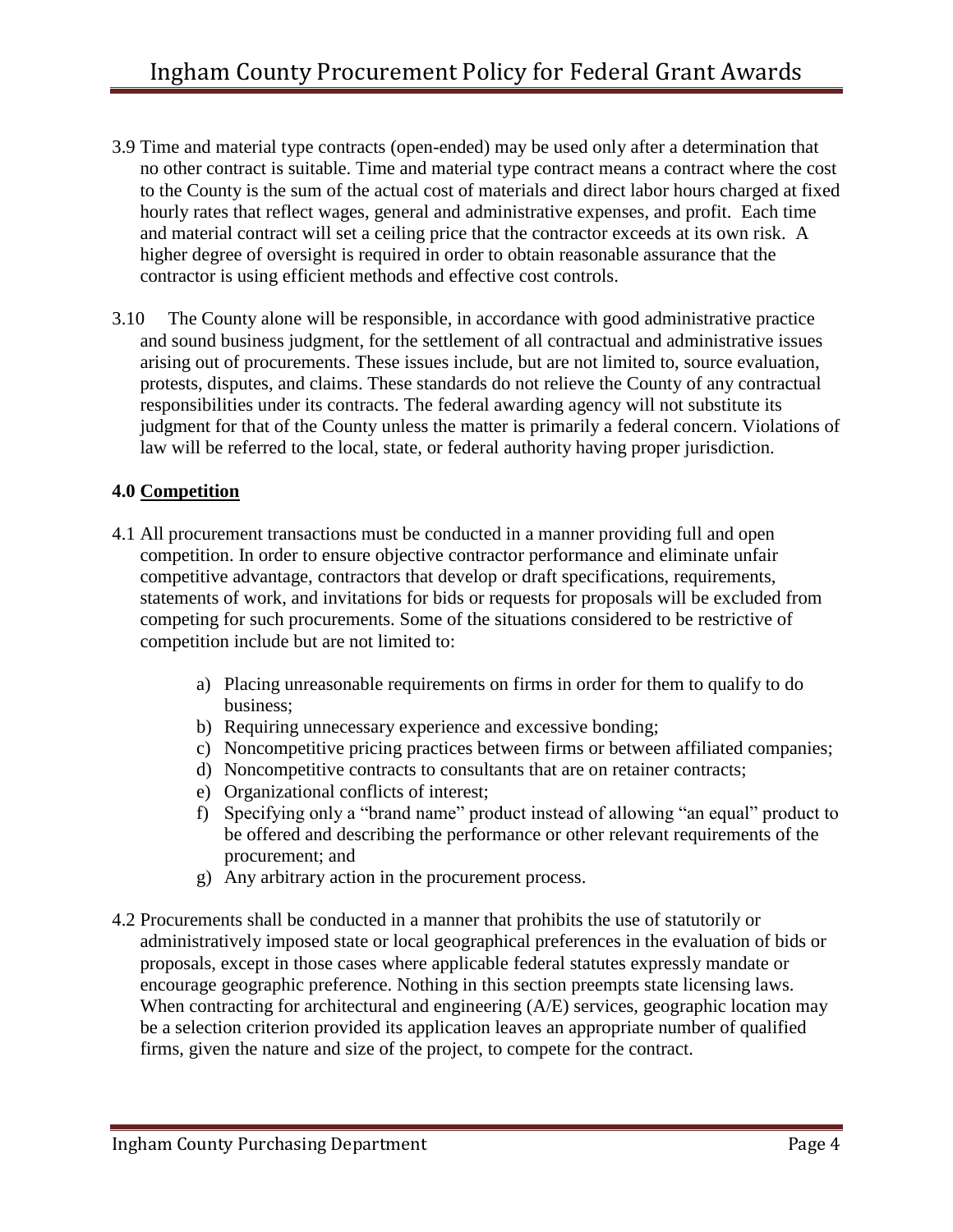- 3.9 Time and material type contracts (open-ended) may be used only after a determination that no other contract is suitable. Time and material type contract means a contract where the cost to the County is the sum of the actual cost of materials and direct labor hours charged at fixed hourly rates that reflect wages, general and administrative expenses, and profit. Each time and material contract will set a ceiling price that the contractor exceeds at its own risk. A higher degree of oversight is required in order to obtain reasonable assurance that the contractor is using efficient methods and effective cost controls.
- 3.10 The County alone will be responsible, in accordance with good administrative practice and sound business judgment, for the settlement of all contractual and administrative issues arising out of procurements. These issues include, but are not limited to, source evaluation, protests, disputes, and claims. These standards do not relieve the County of any contractual responsibilities under its contracts. The federal awarding agency will not substitute its judgment for that of the County unless the matter is primarily a federal concern. Violations of law will be referred to the local, state, or federal authority having proper jurisdiction.

# **4.0 Competition**

- 4.1 All procurement transactions must be conducted in a manner providing full and open competition. In order to ensure objective contractor performance and eliminate unfair competitive advantage, contractors that develop or draft specifications, requirements, statements of work, and invitations for bids or requests for proposals will be excluded from competing for such procurements. Some of the situations considered to be restrictive of competition include but are not limited to:
	- a) Placing unreasonable requirements on firms in order for them to qualify to do business;
	- b) Requiring unnecessary experience and excessive bonding;
	- c) Noncompetitive pricing practices between firms or between affiliated companies;
	- d) Noncompetitive contracts to consultants that are on retainer contracts;
	- e) Organizational conflicts of interest;
	- f) Specifying only a "brand name" product instead of allowing "an equal" product to be offered and describing the performance or other relevant requirements of the procurement; and
	- g) Any arbitrary action in the procurement process.
- 4.2 Procurements shall be conducted in a manner that prohibits the use of statutorily or administratively imposed state or local geographical preferences in the evaluation of bids or proposals, except in those cases where applicable federal statutes expressly mandate or encourage geographic preference. Nothing in this section preempts state licensing laws. When contracting for architectural and engineering (A/E) services, geographic location may be a selection criterion provided its application leaves an appropriate number of qualified firms, given the nature and size of the project, to compete for the contract.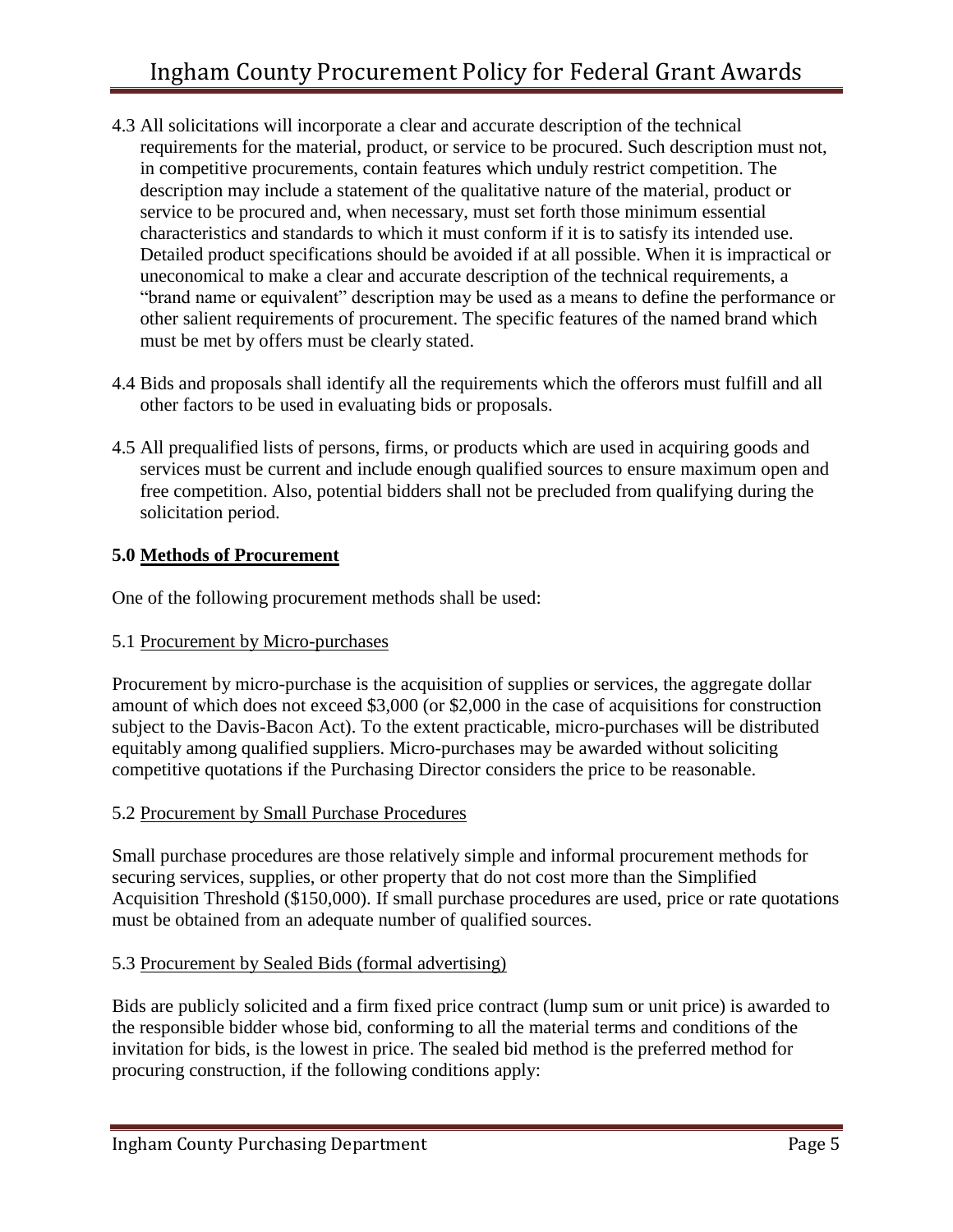- 4.3 All solicitations will incorporate a clear and accurate description of the technical requirements for the material, product, or service to be procured. Such description must not, in competitive procurements, contain features which unduly restrict competition. The description may include a statement of the qualitative nature of the material, product or service to be procured and, when necessary, must set forth those minimum essential characteristics and standards to which it must conform if it is to satisfy its intended use. Detailed product specifications should be avoided if at all possible. When it is impractical or uneconomical to make a clear and accurate description of the technical requirements, a "brand name or equivalent" description may be used as a means to define the performance or other salient requirements of procurement. The specific features of the named brand which must be met by offers must be clearly stated.
- 4.4 Bids and proposals shall identify all the requirements which the offerors must fulfill and all other factors to be used in evaluating bids or proposals.
- 4.5 All prequalified lists of persons, firms, or products which are used in acquiring goods and services must be current and include enough qualified sources to ensure maximum open and free competition. Also, potential bidders shall not be precluded from qualifying during the solicitation period.

#### **5.0 Methods of Procurement**

One of the following procurement methods shall be used:

#### 5.1 Procurement by Micro-purchases

Procurement by micro-purchase is the acquisition of supplies or services, the aggregate dollar amount of which does not exceed \$3,000 (or \$2,000 in the case of acquisitions for construction subject to the Davis-Bacon Act). To the extent practicable, micro-purchases will be distributed equitably among qualified suppliers. Micro-purchases may be awarded without soliciting competitive quotations if the Purchasing Director considers the price to be reasonable.

#### 5.2 Procurement by Small Purchase Procedures

Small purchase procedures are those relatively simple and informal procurement methods for securing services, supplies, or other property that do not cost more than the Simplified Acquisition Threshold (\$150,000). If small purchase procedures are used, price or rate quotations must be obtained from an adequate number of qualified sources.

#### 5.3 Procurement by Sealed Bids (formal advertising)

Bids are publicly solicited and a firm fixed price contract (lump sum or unit price) is awarded to the responsible bidder whose bid, conforming to all the material terms and conditions of the invitation for bids, is the lowest in price. The sealed bid method is the preferred method for procuring construction, if the following conditions apply: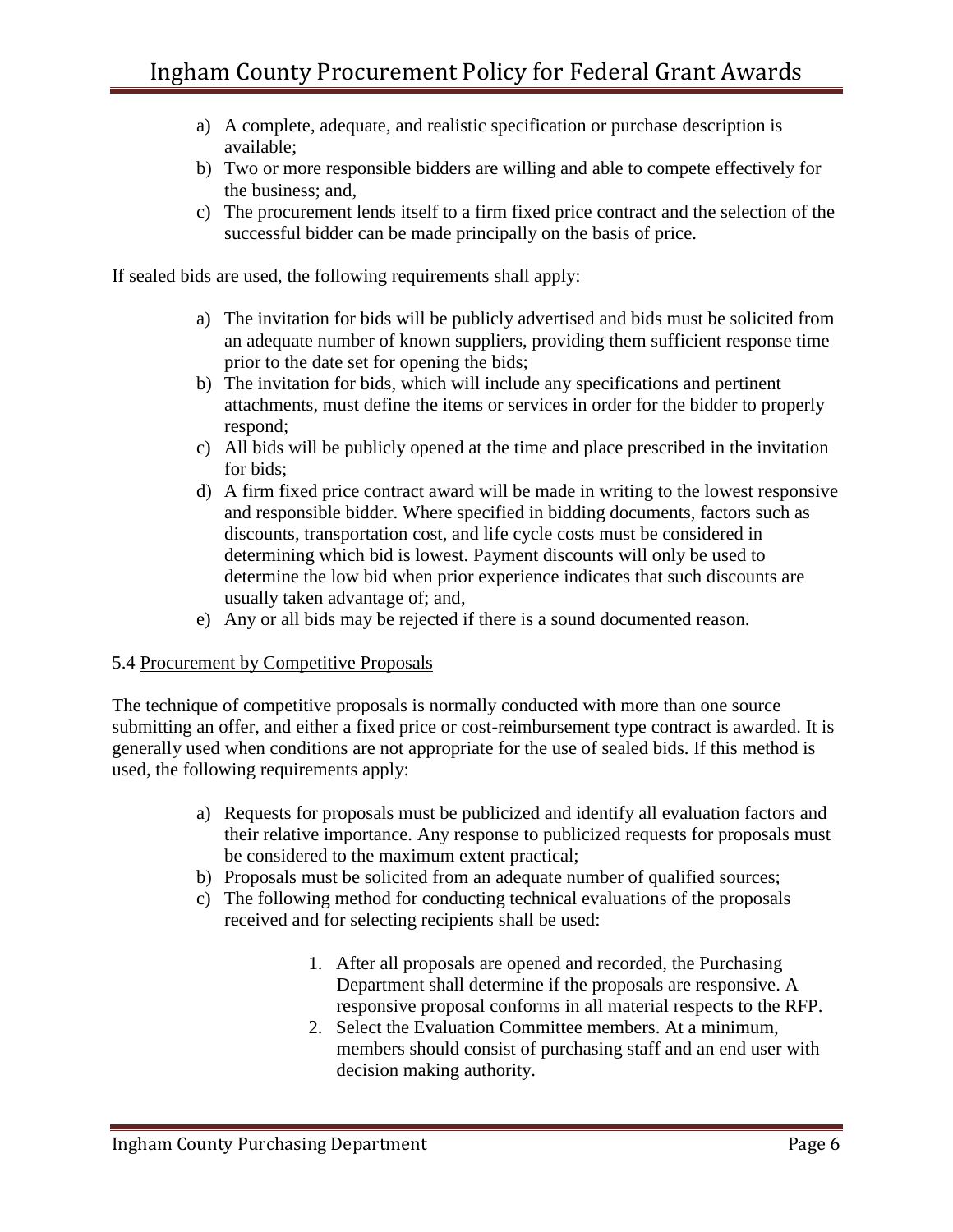- a) A complete, adequate, and realistic specification or purchase description is available;
- b) Two or more responsible bidders are willing and able to compete effectively for the business; and,
- c) The procurement lends itself to a firm fixed price contract and the selection of the successful bidder can be made principally on the basis of price.

If sealed bids are used, the following requirements shall apply:

- a) The invitation for bids will be publicly advertised and bids must be solicited from an adequate number of known suppliers, providing them sufficient response time prior to the date set for opening the bids;
- b) The invitation for bids, which will include any specifications and pertinent attachments, must define the items or services in order for the bidder to properly respond;
- c) All bids will be publicly opened at the time and place prescribed in the invitation for bids;
- d) A firm fixed price contract award will be made in writing to the lowest responsive and responsible bidder. Where specified in bidding documents, factors such as discounts, transportation cost, and life cycle costs must be considered in determining which bid is lowest. Payment discounts will only be used to determine the low bid when prior experience indicates that such discounts are usually taken advantage of; and,
- e) Any or all bids may be rejected if there is a sound documented reason.

#### 5.4 Procurement by Competitive Proposals

The technique of competitive proposals is normally conducted with more than one source submitting an offer, and either a fixed price or cost-reimbursement type contract is awarded. It is generally used when conditions are not appropriate for the use of sealed bids. If this method is used, the following requirements apply:

- a) Requests for proposals must be publicized and identify all evaluation factors and their relative importance. Any response to publicized requests for proposals must be considered to the maximum extent practical;
- b) Proposals must be solicited from an adequate number of qualified sources;
- c) The following method for conducting technical evaluations of the proposals received and for selecting recipients shall be used:
	- 1. After all proposals are opened and recorded, the Purchasing Department shall determine if the proposals are responsive. A responsive proposal conforms in all material respects to the RFP.
	- 2. Select the Evaluation Committee members. At a minimum, members should consist of purchasing staff and an end user with decision making authority.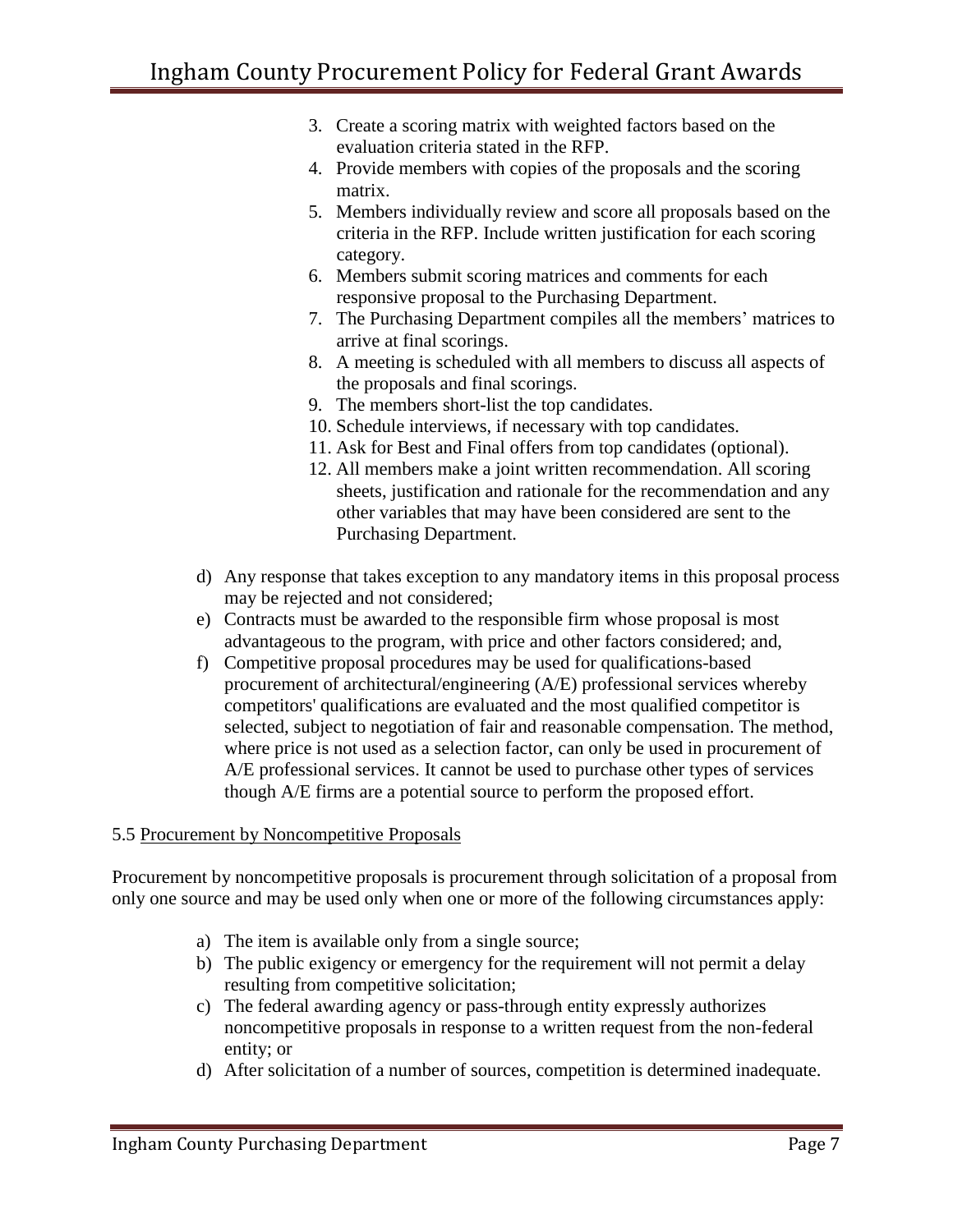- 3. Create a scoring matrix with weighted factors based on the evaluation criteria stated in the RFP.
- 4. Provide members with copies of the proposals and the scoring matrix.
- 5. Members individually review and score all proposals based on the criteria in the RFP. Include written justification for each scoring category.
- 6. Members submit scoring matrices and comments for each responsive proposal to the Purchasing Department.
- 7. The Purchasing Department compiles all the members' matrices to arrive at final scorings.
- 8. A meeting is scheduled with all members to discuss all aspects of the proposals and final scorings.
- 9. The members short-list the top candidates.
- 10. Schedule interviews, if necessary with top candidates.
- 11. Ask for Best and Final offers from top candidates (optional).
- 12. All members make a joint written recommendation. All scoring sheets, justification and rationale for the recommendation and any other variables that may have been considered are sent to the Purchasing Department.
- d) Any response that takes exception to any mandatory items in this proposal process may be rejected and not considered;
- e) Contracts must be awarded to the responsible firm whose proposal is most advantageous to the program, with price and other factors considered; and,
- f) Competitive proposal procedures may be used for qualifications-based procurement of architectural/engineering (A/E) professional services whereby competitors' qualifications are evaluated and the most qualified competitor is selected, subject to negotiation of fair and reasonable compensation. The method, where price is not used as a selection factor, can only be used in procurement of A/E professional services. It cannot be used to purchase other types of services though A/E firms are a potential source to perform the proposed effort.

# 5.5 Procurement by Noncompetitive Proposals

Procurement by noncompetitive proposals is procurement through solicitation of a proposal from only one source and may be used only when one or more of the following circumstances apply:

- a) The item is available only from a single source;
- b) The public exigency or emergency for the requirement will not permit a delay resulting from competitive solicitation;
- c) The federal awarding agency or pass-through entity expressly authorizes noncompetitive proposals in response to a written request from the non-federal entity; or
- d) After solicitation of a number of sources, competition is determined inadequate.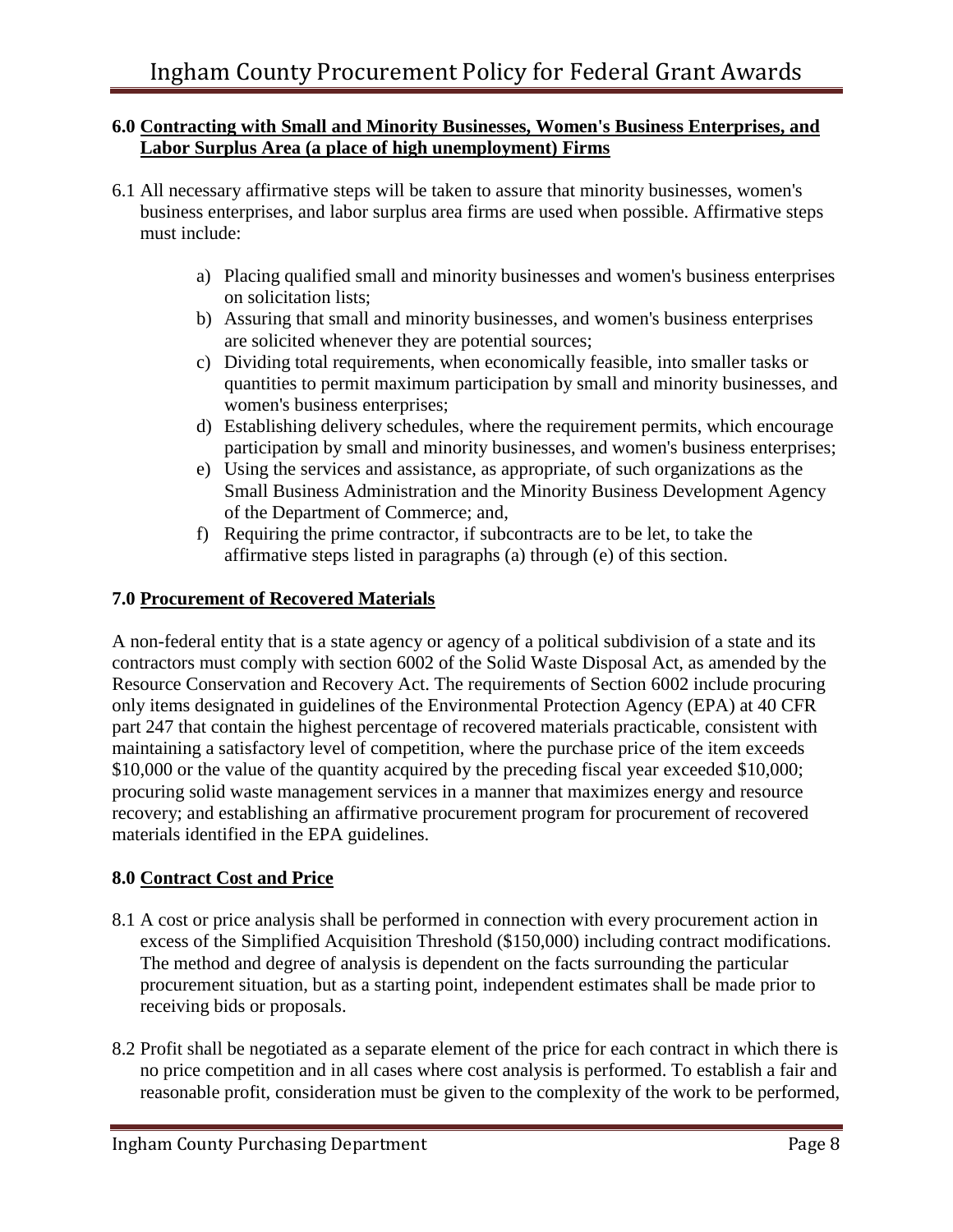#### **6.0 Contracting with Small and Minority Businesses, Women's Business Enterprises, and Labor Surplus Area (a place of high unemployment) Firms**

- 6.1 All necessary affirmative steps will be taken to assure that minority businesses, women's business enterprises, and labor surplus area firms are used when possible. Affirmative steps must include:
	- a) Placing qualified small and minority businesses and women's business enterprises on solicitation lists;
	- b) Assuring that small and minority businesses, and women's business enterprises are solicited whenever they are potential sources;
	- c) Dividing total requirements, when economically feasible, into smaller tasks or quantities to permit maximum participation by small and minority businesses, and women's business enterprises;
	- d) Establishing delivery schedules, where the requirement permits, which encourage participation by small and minority businesses, and women's business enterprises;
	- e) Using the services and assistance, as appropriate, of such organizations as the Small Business Administration and the Minority Business Development Agency of the Department of Commerce; and,
	- f) Requiring the prime contractor, if subcontracts are to be let, to take the affirmative steps listed in paragraphs (a) through (e) of this section.

#### **7.0 Procurement of Recovered Materials**

A non-federal entity that is a state agency or agency of a political subdivision of a state and its contractors must comply with section 6002 of the Solid Waste Disposal Act, as amended by the Resource Conservation and Recovery Act. The requirements of Section 6002 include procuring only items designated in guidelines of the Environmental Protection Agency (EPA) at 40 CFR part 247 that contain the highest percentage of recovered materials practicable, consistent with maintaining a satisfactory level of competition, where the purchase price of the item exceeds \$10,000 or the value of the quantity acquired by the preceding fiscal year exceeded \$10,000; procuring solid waste management services in a manner that maximizes energy and resource recovery; and establishing an affirmative procurement program for procurement of recovered materials identified in the EPA guidelines.

# **8.0 Contract Cost and Price**

- 8.1 A cost or price analysis shall be performed in connection with every procurement action in excess of the Simplified Acquisition Threshold (\$150,000) including contract modifications. The method and degree of analysis is dependent on the facts surrounding the particular procurement situation, but as a starting point, independent estimates shall be made prior to receiving bids or proposals.
- 8.2 Profit shall be negotiated as a separate element of the price for each contract in which there is no price competition and in all cases where cost analysis is performed. To establish a fair and reasonable profit, consideration must be given to the complexity of the work to be performed,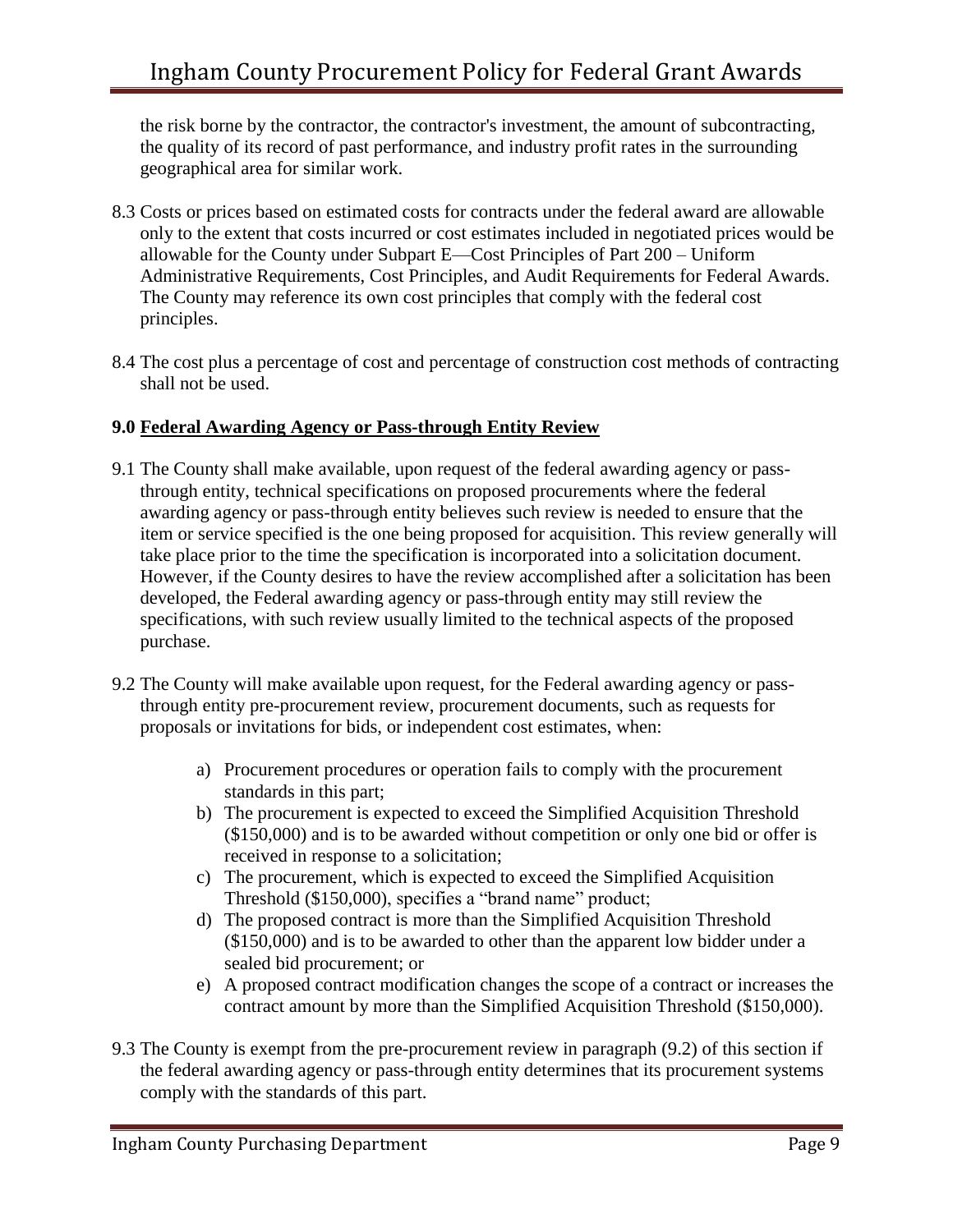the risk borne by the contractor, the contractor's investment, the amount of subcontracting, the quality of its record of past performance, and industry profit rates in the surrounding geographical area for similar work.

- 8.3 Costs or prices based on estimated costs for contracts under the federal award are allowable only to the extent that costs incurred or cost estimates included in negotiated prices would be allowable for the County under Subpart E—Cost Principles of Part 200 – Uniform Administrative Requirements, Cost Principles, and Audit Requirements for Federal Awards. The County may reference its own cost principles that comply with the federal cost principles.
- 8.4 The cost plus a percentage of cost and percentage of construction cost methods of contracting shall not be used.

#### **9.0 Federal Awarding Agency or Pass-through Entity Review**

- 9.1 The County shall make available, upon request of the federal awarding agency or passthrough entity, technical specifications on proposed procurements where the federal awarding agency or pass-through entity believes such review is needed to ensure that the item or service specified is the one being proposed for acquisition. This review generally will take place prior to the time the specification is incorporated into a solicitation document. However, if the County desires to have the review accomplished after a solicitation has been developed, the Federal awarding agency or pass-through entity may still review the specifications, with such review usually limited to the technical aspects of the proposed purchase.
- 9.2 The County will make available upon request, for the Federal awarding agency or passthrough entity pre-procurement review, procurement documents, such as requests for proposals or invitations for bids, or independent cost estimates, when:
	- a) Procurement procedures or operation fails to comply with the procurement standards in this part;
	- b) The procurement is expected to exceed the Simplified Acquisition Threshold (\$150,000) and is to be awarded without competition or only one bid or offer is received in response to a solicitation;
	- c) The procurement, which is expected to exceed the Simplified Acquisition Threshold (\$150,000), specifies a "brand name" product;
	- d) The proposed contract is more than the Simplified Acquisition Threshold (\$150,000) and is to be awarded to other than the apparent low bidder under a sealed bid procurement; or
	- e) A proposed contract modification changes the scope of a contract or increases the contract amount by more than the Simplified Acquisition Threshold (\$150,000).
- 9.3 The County is exempt from the pre-procurement review in paragraph (9.2) of this section if the federal awarding agency or pass-through entity determines that its procurement systems comply with the standards of this part.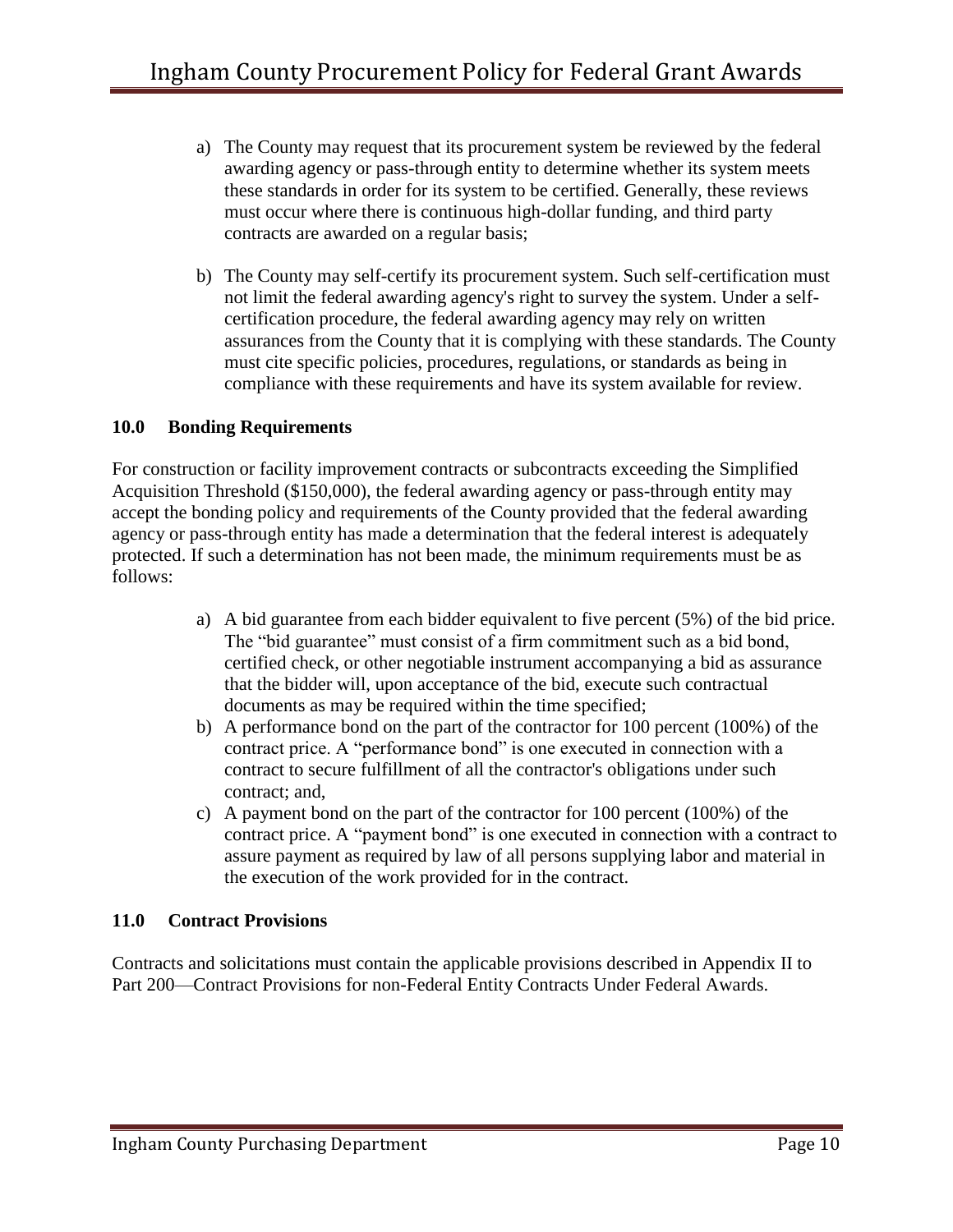- a) The County may request that its procurement system be reviewed by the federal awarding agency or pass-through entity to determine whether its system meets these standards in order for its system to be certified. Generally, these reviews must occur where there is continuous high-dollar funding, and third party contracts are awarded on a regular basis;
- b) The County may self-certify its procurement system. Such self-certification must not limit the federal awarding agency's right to survey the system. Under a selfcertification procedure, the federal awarding agency may rely on written assurances from the County that it is complying with these standards. The County must cite specific policies, procedures, regulations, or standards as being in compliance with these requirements and have its system available for review.

#### **10.0 Bonding Requirements**

For construction or facility improvement contracts or subcontracts exceeding the Simplified Acquisition Threshold (\$150,000), the federal awarding agency or pass-through entity may accept the bonding policy and requirements of the County provided that the federal awarding agency or pass-through entity has made a determination that the federal interest is adequately protected. If such a determination has not been made, the minimum requirements must be as follows:

- a) A bid guarantee from each bidder equivalent to five percent (5%) of the bid price. The "bid guarantee" must consist of a firm commitment such as a bid bond, certified check, or other negotiable instrument accompanying a bid as assurance that the bidder will, upon acceptance of the bid, execute such contractual documents as may be required within the time specified;
- b) A performance bond on the part of the contractor for 100 percent (100%) of the contract price. A "performance bond" is one executed in connection with a contract to secure fulfillment of all the contractor's obligations under such contract; and,
- c) A payment bond on the part of the contractor for 100 percent (100%) of the contract price. A "payment bond" is one executed in connection with a contract to assure payment as required by law of all persons supplying labor and material in the execution of the work provided for in the contract.

#### **11.0 Contract Provisions**

Contracts and solicitations must contain the applicable provisions described in Appendix II to Part 200—Contract Provisions for non-Federal Entity Contracts Under Federal Awards.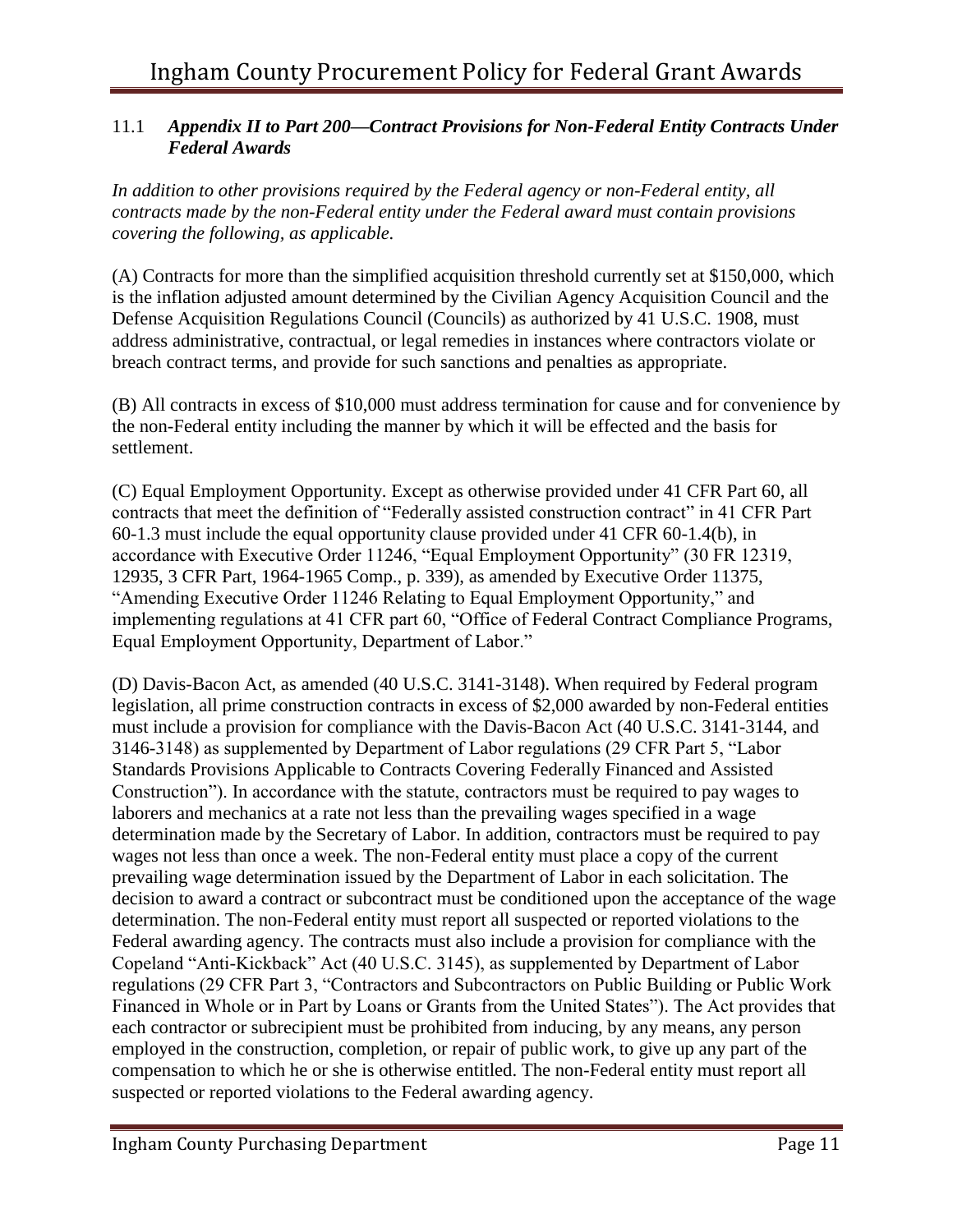#### 11.1 *Appendix II to Part 200—Contract Provisions for Non-Federal Entity Contracts Under Federal Awards*

*In addition to other provisions required by the Federal agency or non-Federal entity, all contracts made by the non-Federal entity under the Federal award must contain provisions covering the following, as applicable.*

(A) Contracts for more than the simplified acquisition threshold currently set at \$150,000, which is the inflation adjusted amount determined by the Civilian Agency Acquisition Council and the Defense Acquisition Regulations Council (Councils) as authorized by 41 U.S.C. 1908, must address administrative, contractual, or legal remedies in instances where contractors violate or breach contract terms, and provide for such sanctions and penalties as appropriate.

(B) All contracts in excess of \$10,000 must address termination for cause and for convenience by the non-Federal entity including the manner by which it will be effected and the basis for settlement.

(C) Equal Employment Opportunity. Except as otherwise provided under 41 CFR Part 60, all contracts that meet the definition of "Federally assisted construction contract" in 41 CFR Part 60-1.3 must include the equal opportunity clause provided under 41 CFR 60-1.4(b), in accordance with Executive Order 11246, "Equal Employment Opportunity" (30 FR 12319, 12935, 3 CFR Part, 1964-1965 Comp., p. 339), as amended by Executive Order 11375, "Amending Executive Order 11246 Relating to Equal Employment Opportunity," and implementing regulations at 41 CFR part 60, "Office of Federal Contract Compliance Programs, Equal Employment Opportunity, Department of Labor."

(D) Davis-Bacon Act, as amended (40 U.S.C. 3141-3148). When required by Federal program legislation, all prime construction contracts in excess of \$2,000 awarded by non-Federal entities must include a provision for compliance with the Davis-Bacon Act (40 U.S.C. 3141-3144, and 3146-3148) as supplemented by Department of Labor regulations (29 CFR Part 5, "Labor Standards Provisions Applicable to Contracts Covering Federally Financed and Assisted Construction"). In accordance with the statute, contractors must be required to pay wages to laborers and mechanics at a rate not less than the prevailing wages specified in a wage determination made by the Secretary of Labor. In addition, contractors must be required to pay wages not less than once a week. The non-Federal entity must place a copy of the current prevailing wage determination issued by the Department of Labor in each solicitation. The decision to award a contract or subcontract must be conditioned upon the acceptance of the wage determination. The non-Federal entity must report all suspected or reported violations to the Federal awarding agency. The contracts must also include a provision for compliance with the Copeland "Anti-Kickback" Act (40 U.S.C. 3145), as supplemented by Department of Labor regulations (29 CFR Part 3, "Contractors and Subcontractors on Public Building or Public Work Financed in Whole or in Part by Loans or Grants from the United States"). The Act provides that each contractor or subrecipient must be prohibited from inducing, by any means, any person employed in the construction, completion, or repair of public work, to give up any part of the compensation to which he or she is otherwise entitled. The non-Federal entity must report all suspected or reported violations to the Federal awarding agency.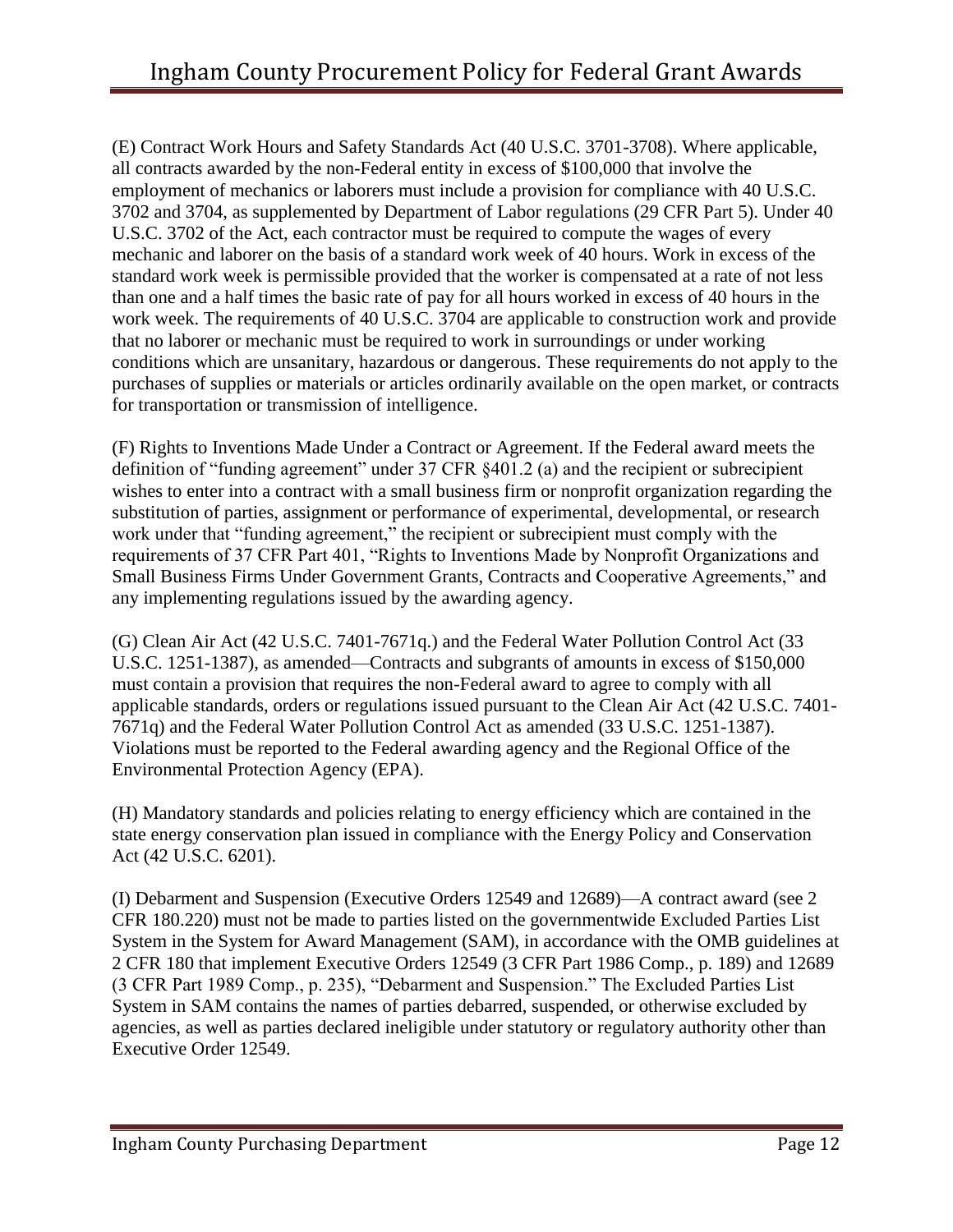(E) Contract Work Hours and Safety Standards Act (40 U.S.C. 3701-3708). Where applicable, all contracts awarded by the non-Federal entity in excess of \$100,000 that involve the employment of mechanics or laborers must include a provision for compliance with 40 U.S.C. 3702 and 3704, as supplemented by Department of Labor regulations (29 CFR Part 5). Under 40 U.S.C. 3702 of the Act, each contractor must be required to compute the wages of every mechanic and laborer on the basis of a standard work week of 40 hours. Work in excess of the standard work week is permissible provided that the worker is compensated at a rate of not less than one and a half times the basic rate of pay for all hours worked in excess of 40 hours in the work week. The requirements of 40 U.S.C. 3704 are applicable to construction work and provide that no laborer or mechanic must be required to work in surroundings or under working conditions which are unsanitary, hazardous or dangerous. These requirements do not apply to the purchases of supplies or materials or articles ordinarily available on the open market, or contracts for transportation or transmission of intelligence.

(F) Rights to Inventions Made Under a Contract or Agreement. If the Federal award meets the definition of "funding agreement" under 37 CFR §401.2 (a) and the recipient or subrecipient wishes to enter into a contract with a small business firm or nonprofit organization regarding the substitution of parties, assignment or performance of experimental, developmental, or research work under that "funding agreement," the recipient or subrecipient must comply with the requirements of 37 CFR Part 401, "Rights to Inventions Made by Nonprofit Organizations and Small Business Firms Under Government Grants, Contracts and Cooperative Agreements," and any implementing regulations issued by the awarding agency.

(G) Clean Air Act (42 U.S.C. 7401-7671q.) and the Federal Water Pollution Control Act (33 U.S.C. 1251-1387), as amended—Contracts and subgrants of amounts in excess of \$150,000 must contain a provision that requires the non-Federal award to agree to comply with all applicable standards, orders or regulations issued pursuant to the Clean Air Act (42 U.S.C. 7401- 7671q) and the Federal Water Pollution Control Act as amended (33 U.S.C. 1251-1387). Violations must be reported to the Federal awarding agency and the Regional Office of the Environmental Protection Agency (EPA).

(H) Mandatory standards and policies relating to energy efficiency which are contained in the state energy conservation plan issued in compliance with the Energy Policy and Conservation Act (42 U.S.C. 6201).

(I) Debarment and Suspension (Executive Orders 12549 and 12689)—A contract award (see 2 CFR 180.220) must not be made to parties listed on the governmentwide Excluded Parties List System in the System for Award Management (SAM), in accordance with the OMB guidelines at 2 CFR 180 that implement Executive Orders 12549 (3 CFR Part 1986 Comp., p. 189) and 12689 (3 CFR Part 1989 Comp., p. 235), "Debarment and Suspension." The Excluded Parties List System in SAM contains the names of parties debarred, suspended, or otherwise excluded by agencies, as well as parties declared ineligible under statutory or regulatory authority other than Executive Order 12549.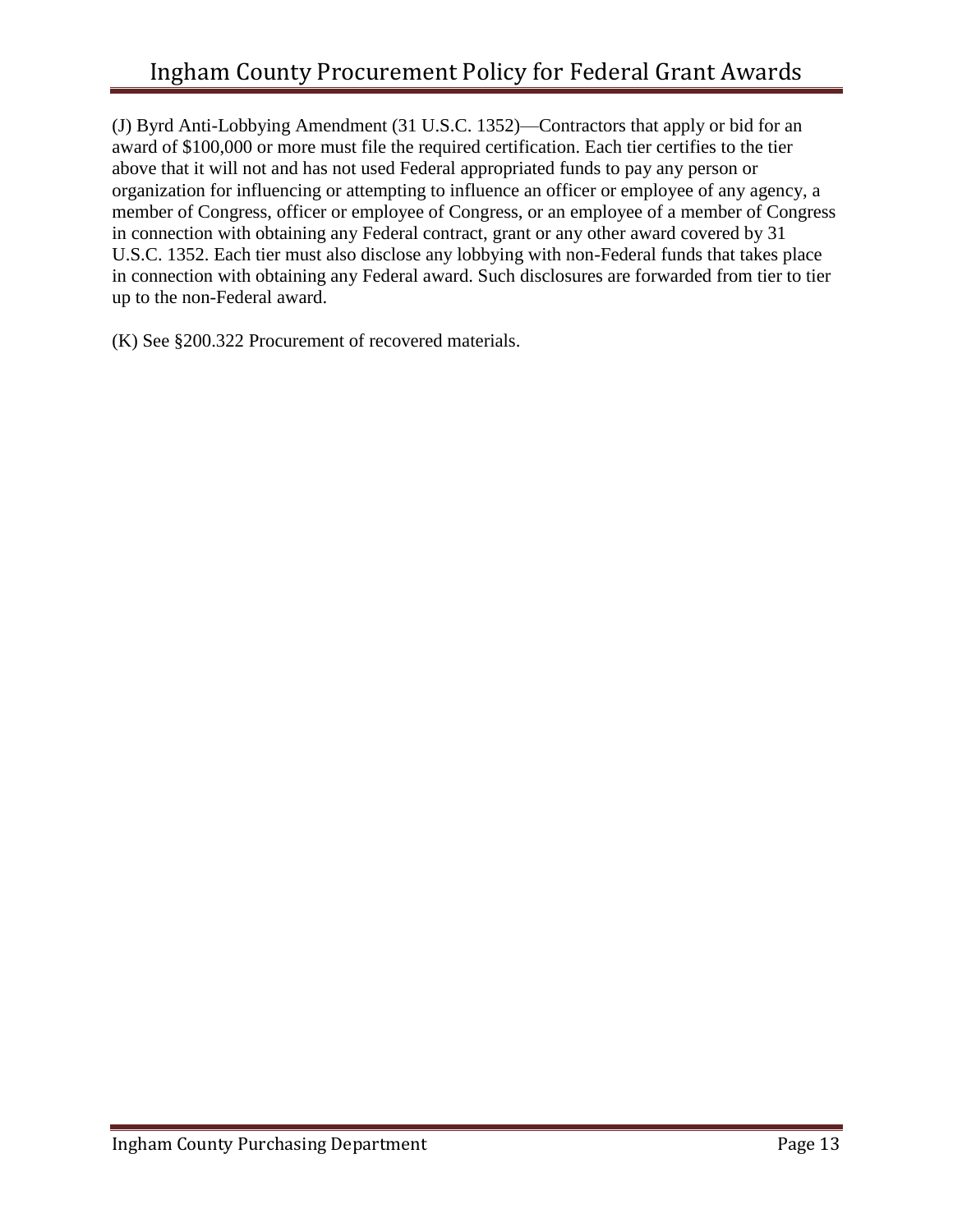(J) Byrd Anti-Lobbying Amendment (31 U.S.C. 1352)—Contractors that apply or bid for an award of \$100,000 or more must file the required certification. Each tier certifies to the tier above that it will not and has not used Federal appropriated funds to pay any person or organization for influencing or attempting to influence an officer or employee of any agency, a member of Congress, officer or employee of Congress, or an employee of a member of Congress in connection with obtaining any Federal contract, grant or any other award covered by 31 U.S.C. 1352. Each tier must also disclose any lobbying with non-Federal funds that takes place in connection with obtaining any Federal award. Such disclosures are forwarded from tier to tier up to the non-Federal award.

(K) See §200.322 Procurement of recovered materials.